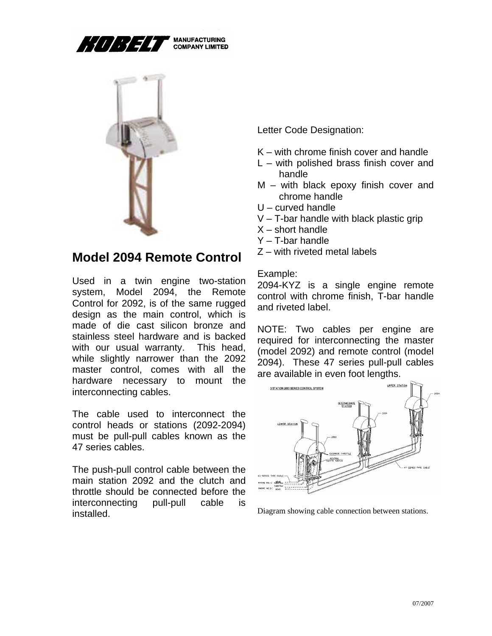

**MANUFACTURING<br>COMPANY LIMITED** 



## **Model 2094 Remote Control**

Used in a twin engine two-station system, Model 2094, the Remote Control for 2092, is of the same rugged design as the main control, which is made of die cast silicon bronze and stainless steel hardware and is backed with our usual warranty. This head, while slightly narrower than the 2092 master control, comes with all the hardware necessary to mount the interconnecting cables.

The cable used to interconnect the control heads or stations (2092-2094) must be pull-pull cables known as the 47 series cables.

The push-pull control cable between the main station 2092 and the clutch and throttle should be connected before the interconnecting pull-pull cable is installed.

Letter Code Designation:

- K with chrome finish cover and handle
- L with polished brass finish cover and handle
- M with black epoxy finish cover and chrome handle
- U curved handle
- V T-bar handle with black plastic grip
- $X$  short handle
- Y T-bar handle
- Z with riveted metal labels

## Example:

2094-KYZ is a single engine remote control with chrome finish, T-bar handle and riveted label.

NOTE: Two cables per engine are required for interconnecting the master (model 2092) and remote control (model 2094). These 47 series pull-pull cables are available in even foot lengths.



Diagram showing cable connection between stations.